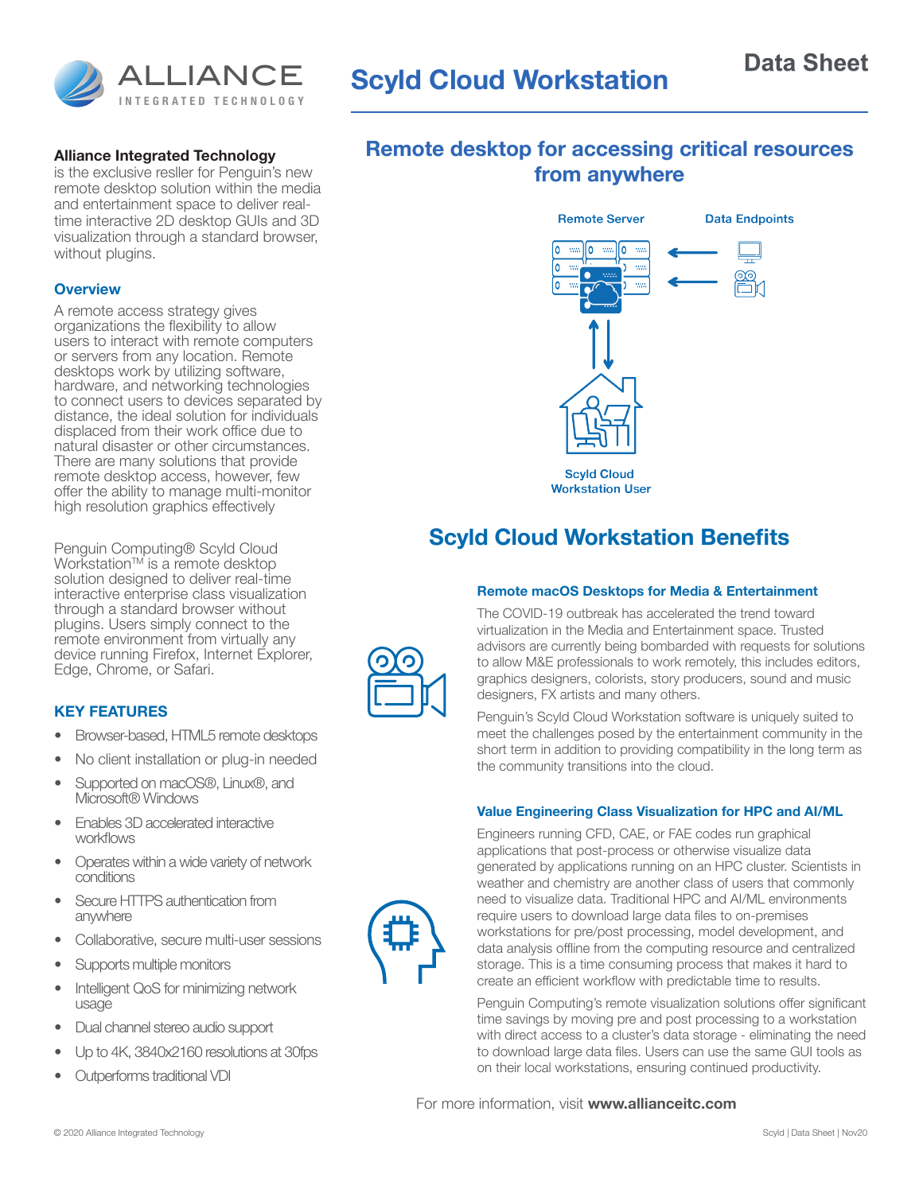

### **Alliance Integrated Technology**

is the exclusive resller for Penguin's new remote desktop solution within the media and entertainment space to deliver realtime interactive 2D desktop GUIs and 3D visualization through a standard browser, without plugins.

## **Overview**

A remote access strategy gives organizations the flexibility to allow users to interact with remote computers or servers from any location. Remote desktops work by utilizing software, hardware, and networking technologies to connect users to devices separated by distance, the ideal solution for individuals displaced from their work office due to natural disaster or other circumstances. There are many solutions that provide remote desktop access, however, few offer the ability to manage multi-monitor high resolution graphics effectively

Penguin Computing® Scyld Cloud Workstation™ is a remote desktop solution designed to deliver real-time interactive enterprise class visualization through a standard browser without plugins. Users simply connect to the remote environment from virtually any device running Firefox, Internet Explorer, Edge, Chrome, or Safari.

# **KEY FEATURES**

- Browser-based, HTML5 remote desktops
- No client installation or plug-in needed
- Supported on macOS®, Linux®, and Microsoft® Windows
- Enables 3D accelerated interactive workflows
- Operates within a wide variety of network conditions
- Secure HTTPS authentication from anywhere
- Collaborative, secure multi-user sessions
- Supports multiple monitors
- Intelligent QoS for minimizing network usage
- Dual channel stereo audio support
- Up to 4K, 3840x2160 resolutions at 30fps
- Outperforms traditional VDI





# **Scyld Cloud Workstation Benefits**

#### **Remote macOS Desktops for Media & Entertainment**

The COVID-19 outbreak has accelerated the trend toward virtualization in the Media and Entertainment space. Trusted advisors are currently being bombarded with requests for solutions to allow M&E professionals to work remotely, this includes editors, graphics designers, colorists, story producers, sound and music designers, FX artists and many others.

Penguin's Scyld Cloud Workstation software is uniquely suited to meet the challenges posed by the entertainment community in the short term in addition to providing compatibility in the long term as the community transitions into the cloud.

## **Value Engineering Class Visualization for HPC and AI/ML**

Engineers running CFD, CAE, or FAE codes run graphical applications that post-process or otherwise visualize data generated by applications running on an HPC cluster. Scientists in weather and chemistry are another class of users that commonly need to visualize data. Traditional HPC and AI/ML environments require users to download large data files to on-premises workstations for pre/post processing, model development, and data analysis offline from the computing resource and centralized storage. This is a time consuming process that makes it hard to create an efficient workflow with predictable time to results.

Penguin Computing's remote visualization solutions offer significant time savings by moving pre and post processing to a workstation with direct access to a cluster's data storage - eliminating the need to download large data files. Users can use the same GUI tools as on their local workstations, ensuring continued productivity.

For more information, visit **www.allianceitc.com**